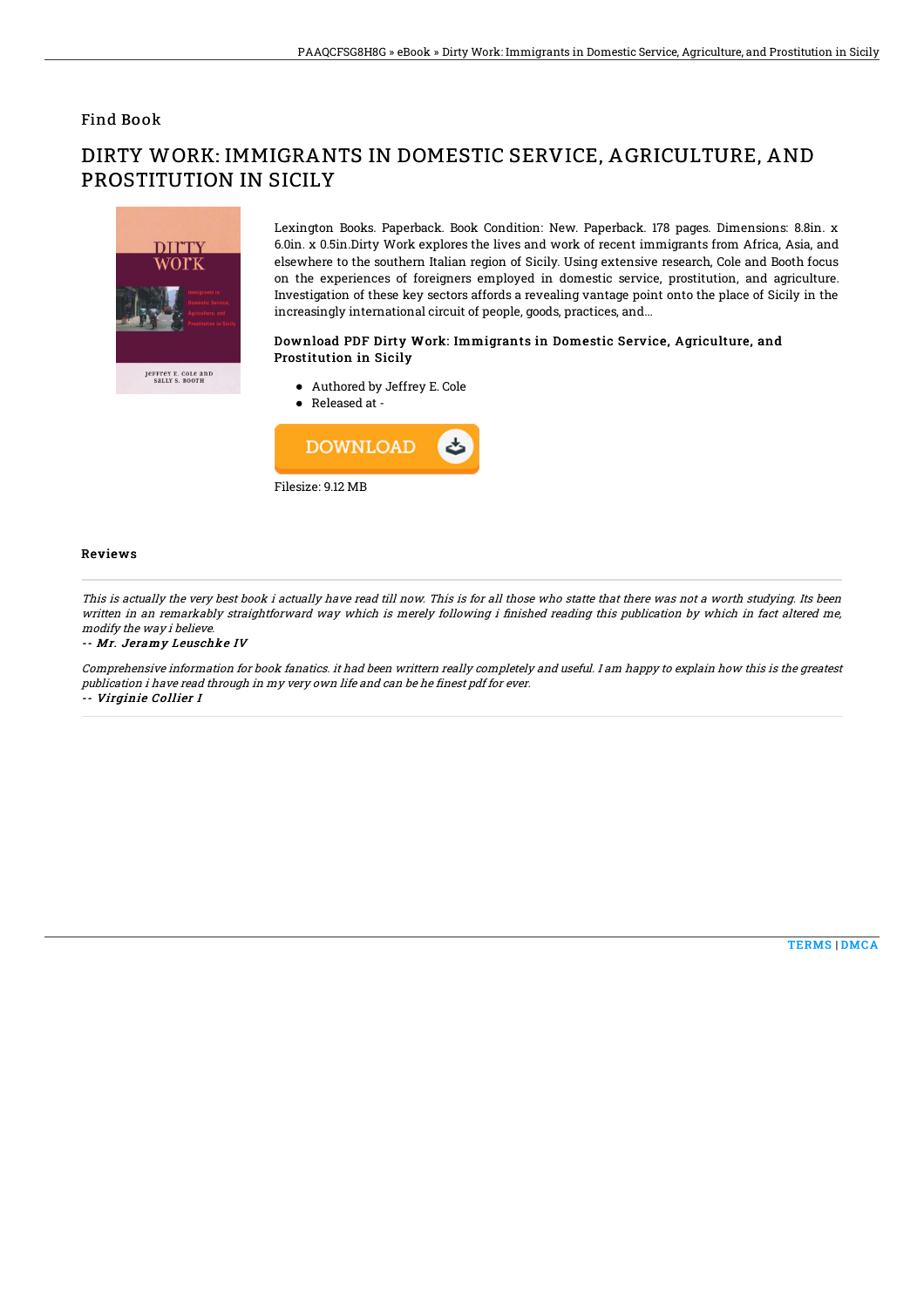### Find Book

# DIRTY WORK: IMMIGRANTS IN DOMESTIC SERVICE, AGRICULTURE, AND PROSTITUTION IN SICILY



Lexington Books. Paperback. Book Condition: New. Paperback. 178 pages. Dimensions: 8.8in. x 6.0in. x 0.5in.Dirty Work explores the lives and work of recent immigrants from Africa, Asia, and elsewhere to the southern Italian region of Sicily. Using extensive research, Cole and Booth focus on the experiences of foreigners employed in domestic service, prostitution, and agriculture. Investigation of these key sectors affords a revealing vantage point onto the place of Sicily in the increasingly international circuit of people, goods, practices, and...

#### Download PDF Dirty Work: Immigrants in Domestic Service, Agriculture, and Prostitution in Sicily

- Authored by Jeffrey E. Cole
- Released at -



#### Reviews

This is actually the very best book i actually have read till now. This is for all those who statte that there was not <sup>a</sup> worth studying. Its been written in an remarkably straightforward way which is merely following i finished reading this publication by which in fact altered me, modify the way i believe.

-- Mr. Jeramy Leuschke IV

Comprehensive information for book fanatics. it had been writtern really completely and useful. I am happy to explain how this is the greatest publication i have read through in my very own life and can be he finest pdf for ever. -- Virginie Collier I